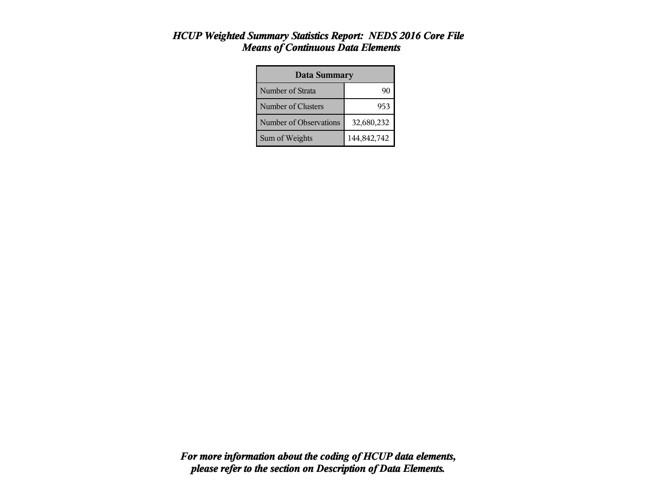#### *HCUP Weighted Summary Statistics Report: NEDS 2016 Core File Means of Continuous Data Elements*

| <b>Data Summary</b>    |             |  |  |
|------------------------|-------------|--|--|
| Number of Strata       |             |  |  |
| Number of Clusters     | 953         |  |  |
| Number of Observations | 32,680,232  |  |  |
| Sum of Weights         | 144,842,742 |  |  |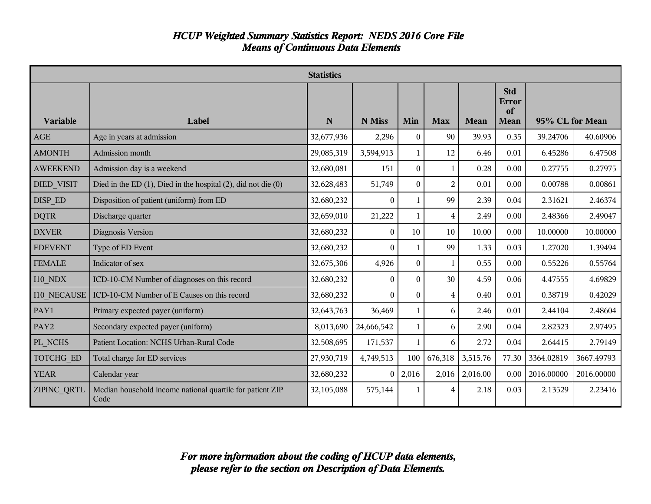#### *HCUP Weighted Summary Statistics Report: NEDS 2016 Core File Means of Continuous Data Elements*

|                    | <b>Statistics</b>                                                     |             |              |                |                |             |                                          |                 |            |
|--------------------|-----------------------------------------------------------------------|-------------|--------------|----------------|----------------|-------------|------------------------------------------|-----------------|------------|
| Variable           | Label                                                                 | $\mathbf N$ | N Miss       | Min            | <b>Max</b>     | <b>Mean</b> | <b>Std</b><br>Error<br>of<br><b>Mean</b> | 95% CL for Mean |            |
| <b>AGE</b>         | Age in years at admission                                             | 32,677,936  | 2,296        | $\Omega$       | 90             | 39.93       | 0.35                                     | 39.24706        | 40.60906   |
| <b>AMONTH</b>      | Admission month                                                       | 29,085,319  | 3,594,913    | $\mathbf{1}$   | 12             | 6.46        | 0.01                                     | 6.45286         | 6.47508    |
| <b>AWEEKEND</b>    | Admission day is a weekend                                            | 32,680,081  | 151          | $\Omega$       | 1              | 0.28        | 0.00                                     | 0.27755         | 0.27975    |
| <b>DIED VISIT</b>  | Died in the ED $(1)$ , Died in the hospital $(2)$ , did not die $(0)$ | 32,628,483  | 51,749       | $\overline{0}$ | $\overline{2}$ | 0.01        | 0.00                                     | 0.00788         | 0.00861    |
| DISP ED            | Disposition of patient (uniform) from ED                              | 32,680,232  | $\theta$     | 1.             | 99             | 2.39        | 0.04                                     | 2.31621         | 2.46374    |
| <b>DQTR</b>        | Discharge quarter                                                     | 32,659,010  | 21,222       | $\mathbf{1}$   | 4              | 2.49        | 0.00                                     | 2.48366         | 2.49047    |
| <b>DXVER</b>       | Diagnosis Version                                                     | 32,680,232  | $\theta$     | 10             | 10             | 10.00       | 0.00                                     | 10.00000        | 10.00000   |
| <b>EDEVENT</b>     | Type of ED Event                                                      | 32,680,232  | $\theta$     | 1              | 99             | 1.33        | 0.03                                     | 1.27020         | 1.39494    |
| <b>FEMALE</b>      | Indicator of sex                                                      | 32,675,306  | 4,926        | $\overline{0}$ | $\mathbf{1}$   | 0.55        | 0.00                                     | 0.55226         | 0.55764    |
| <b>I10 NDX</b>     | ICD-10-CM Number of diagnoses on this record                          | 32,680,232  | $\Omega$     | $\Omega$       | 30             | 4.59        | 0.06                                     | 4.47555         | 4.69829    |
| 110 NECAUSE        | ICD-10-CM Number of E Causes on this record                           | 32,680,232  | $\Omega$     | $\Omega$       | $\overline{4}$ | 0.40        | 0.01                                     | 0.38719         | 0.42029    |
| PAY1               | Primary expected payer (uniform)                                      | 32,643,763  | 36,469       | 1.             | 6              | 2.46        | 0.01                                     | 2.44104         | 2.48604    |
| PAY <sub>2</sub>   | Secondary expected payer (uniform)                                    | 8,013,690   | 24,666,542   | $\mathbf{1}$   | 6              | 2.90        | 0.04                                     | 2.82323         | 2.97495    |
| PL NCHS            | Patient Location: NCHS Urban-Rural Code                               | 32,508,695  | 171,537      | $\mathbf{1}$   | 6              | 2.72        | 0.04                                     | 2.64415         | 2.79149    |
| <b>TOTCHG ED</b>   | Total charge for ED services                                          | 27,930,719  | 4,749,513    | 100            | 676,318        | 3,515.76    | 77.30                                    | 3364.02819      | 3667.49793 |
| <b>YEAR</b>        | Calendar year                                                         | 32,680,232  | $\mathbf{0}$ | 2,016          | 2,016          | 2,016.00    | 0.00                                     | 2016.00000      | 2016.00000 |
| <b>ZIPINC QRTL</b> | Median household income national quartile for patient ZIP<br>Code     | 32,105,088  | 575,144      | 1              | 4              | 2.18        | 0.03                                     | 2.13529         | 2.23416    |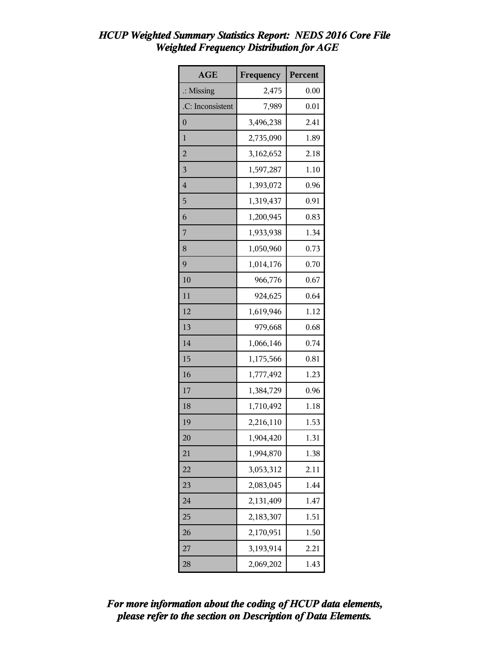| <b>AGE</b>           | Frequency | Percent |
|----------------------|-----------|---------|
| $\therefore$ Missing | 2,475     | 0.00    |
| .C: Inconsistent     | 7,989     | 0.01    |
| $\overline{0}$       | 3,496,238 | 2.41    |
| $\mathbf{1}$         | 2,735,090 | 1.89    |
| $\overline{2}$       | 3,162,652 | 2.18    |
| 3                    | 1,597,287 | 1.10    |
| $\overline{4}$       | 1,393,072 | 0.96    |
| 5                    | 1,319,437 | 0.91    |
| 6                    | 1,200,945 | 0.83    |
| 7                    | 1,933,938 | 1.34    |
| 8                    | 1,050,960 | 0.73    |
| 9                    | 1,014,176 | 0.70    |
| 10                   | 966,776   | 0.67    |
| 11                   | 924,625   | 0.64    |
| 12                   | 1,619,946 | 1.12    |
| 13                   | 979,668   | 0.68    |
| 14                   | 1,066,146 | 0.74    |
| 15                   | 1,175,566 | 0.81    |
| 16                   | 1,777,492 | 1.23    |
| 17                   | 1,384,729 | 0.96    |
| 18                   | 1,710,492 | 1.18    |
| 19                   | 2,216,110 | 1.53    |
| 20                   | 1,904,420 | 1.31    |
| 21                   | 1,994,870 | 1.38    |
| 22                   | 3,053,312 | 2.11    |
| 23                   | 2,083,045 | 1.44    |
| 24                   | 2,131,409 | 1.47    |
| 25                   | 2,183,307 | 1.51    |
| 26                   | 2,170,951 | 1.50    |
| 27                   | 3,193,914 | 2.21    |
| 28                   | 2,069,202 | 1.43    |

### *HCUP Weighted Summary Statistics Report: NEDS 2016 Core File Weighted Frequency Distribution for AGE*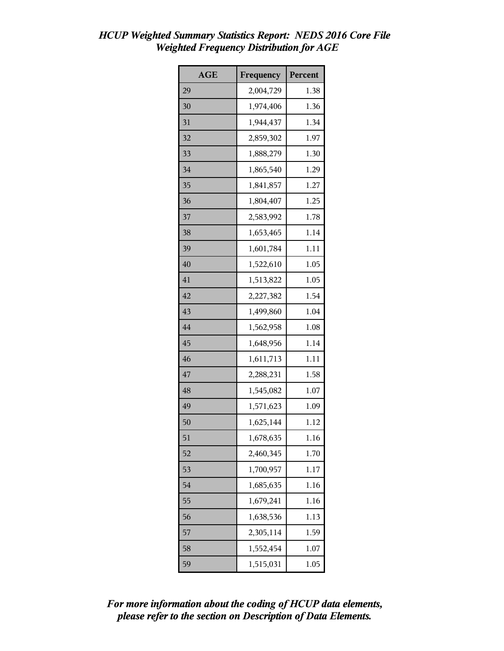| <b>AGE</b> | Frequency | Percent |
|------------|-----------|---------|
| 29         | 2,004,729 | 1.38    |
| 30         | 1,974,406 | 1.36    |
| 31         | 1,944,437 | 1.34    |
| 32         | 2,859,302 | 1.97    |
| 33         | 1,888,279 | 1.30    |
| 34         | 1,865,540 | 1.29    |
| 35         | 1,841,857 | 1.27    |
| 36         | 1,804,407 | 1.25    |
| 37         | 2,583,992 | 1.78    |
| 38         | 1,653,465 | 1.14    |
| 39         | 1,601,784 | 1.11    |
| 40         | 1,522,610 | 1.05    |
| 41         | 1,513,822 | 1.05    |
| 42         | 2,227,382 | 1.54    |
| 43         | 1,499,860 | 1.04    |
| 44         | 1,562,958 | 1.08    |
| 45         | 1,648,956 | 1.14    |
| 46         | 1,611,713 | 1.11    |
| 47         | 2,288,231 | 1.58    |
| 48         | 1,545,082 | 1.07    |
| 49         | 1,571,623 | 1.09    |
| 50         | 1,625,144 | 1.12    |
| 51         | 1,678,635 | 1.16    |
| 52         | 2,460,345 | 1.70    |
| 53         | 1,700,957 | 1.17    |
| 54         | 1,685,635 | 1.16    |
| 55         | 1,679,241 | 1.16    |
| 56         | 1,638,536 | 1.13    |
| 57         | 2,305,114 | 1.59    |
| 58         | 1,552,454 | 1.07    |
| 59         | 1,515,031 | 1.05    |

### *HCUP Weighted Summary Statistics Report: NEDS 2016 Core File Weighted Frequency Distribution for AGE*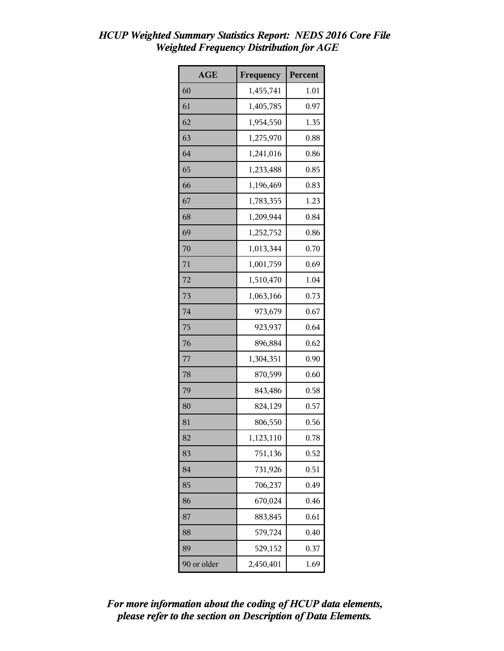| <b>AGE</b>  | Frequency | Percent |
|-------------|-----------|---------|
| 60          | 1,455,741 | 1.01    |
| 61          | 1,405,785 | 0.97    |
| 62          | 1,954,550 | 1.35    |
| 63          | 1,275,970 | 0.88    |
| 64          | 1,241,016 | 0.86    |
| 65          | 1,233,488 | 0.85    |
| 66          | 1,196,469 | 0.83    |
| 67          | 1,783,355 | 1.23    |
| 68          | 1,209,944 | 0.84    |
| 69          | 1,252,752 | 0.86    |
| 70          | 1,013,344 | 0.70    |
| 71          | 1,001,759 | 0.69    |
| 72          | 1,510,470 | 1.04    |
| 73          | 1,063,166 | 0.73    |
| 74          | 973,679   | 0.67    |
| 75          | 923,937   | 0.64    |
| 76          | 896,884   | 0.62    |
| 77          | 1,304,351 | 0.90    |
| 78          | 870,599   | 0.60    |
| 79          | 843,486   | 0.58    |
| 80          | 824,129   | 0.57    |
| 81          | 806,550   | 0.56    |
| 82          | 1,123,110 | 0.78    |
| 83          | 751,136   | 0.52    |
| 84          | 731,926   | 0.51    |
| 85          | 706,237   | 0.49    |
| 86          | 670,024   | 0.46    |
| 87          | 883,845   | 0.61    |
| 88          | 579,724   | 0.40    |
| 89          | 529,152   | 0.37    |
| 90 or older | 2,450,401 | 1.69    |

### *HCUP Weighted Summary Statistics Report: NEDS 2016 Core File Weighted Frequency Distribution for AGE*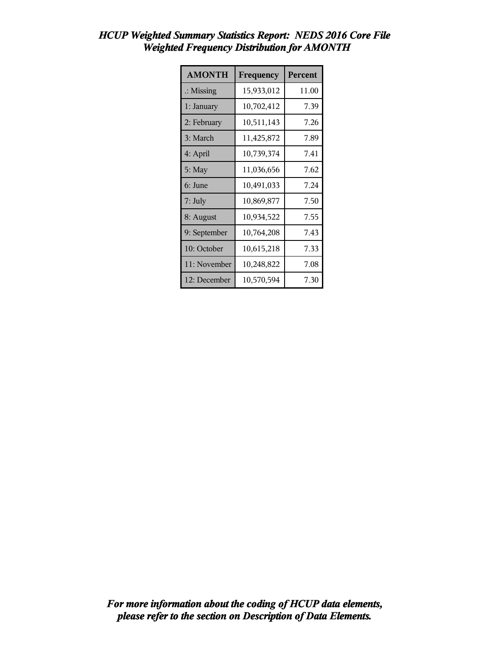| <b>AMONTH</b>        | Frequency  | Percent |
|----------------------|------------|---------|
| $\therefore$ Missing | 15,933,012 | 11.00   |
| 1: January           | 10,702,412 | 7.39    |
| 2: February          | 10,511,143 | 7.26    |
| 3: March             | 11,425,872 | 7.89    |
| 4: April             | 10,739,374 | 7.41    |
| 5: May               | 11,036,656 | 7.62    |
| 6: June              | 10,491,033 | 7.24    |
| 7: July              | 10,869,877 | 7.50    |
| 8: August            | 10,934,522 | 7.55    |
| 9: September         | 10,764,208 | 7.43    |
| 10: October          | 10,615,218 | 7.33    |
| 11: November         | 10,248,822 | 7.08    |
| 12: December         | 10,570,594 | 7.30    |

# *HCUP Weighted Summary Statistics Report: NEDS 2016 Core File Weighted Frequency Distribution for AMONTH*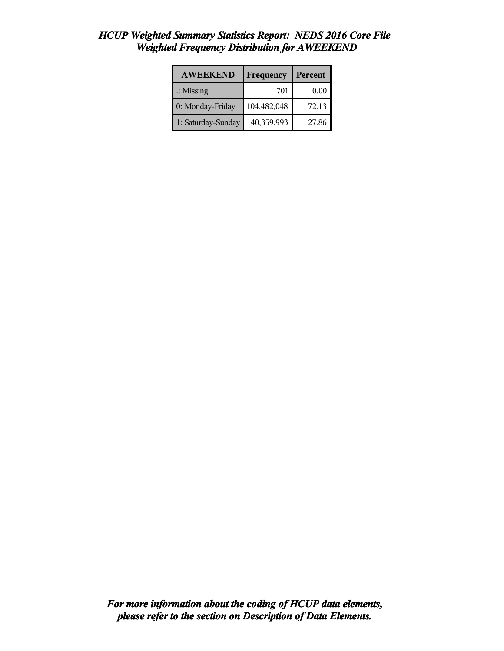| <b>AWEEKEND</b>      | Frequency   | Percent |
|----------------------|-------------|---------|
| $\therefore$ Missing | 701         | 0.00    |
| 0: Monday-Friday     | 104,482,048 | 72.13   |
| 1: Saturday-Sunday   | 40,359,993  | 27.86   |

## *HCUP Weighted Summary Statistics Report: NEDS 2016 Core File Weighted Frequency Distribution for AWEEKEND*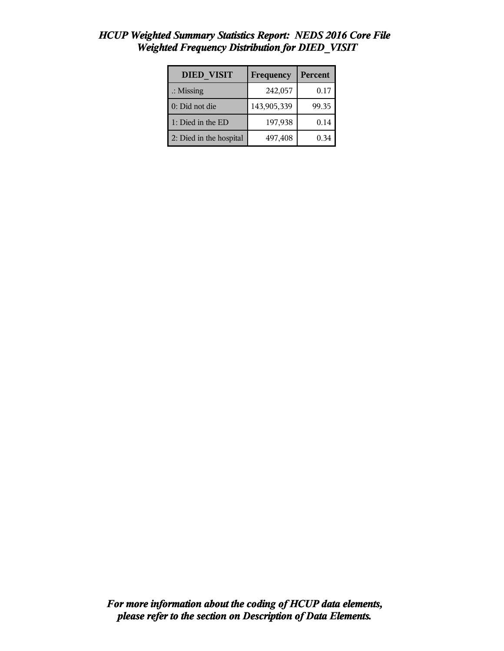| <b>DIED VISIT</b>       | Frequency   | Percent |
|-------------------------|-------------|---------|
| $\therefore$ Missing    | 242,057     | 0.17    |
| 0: Did not die          | 143,905,339 | 99.35   |
| 1: Died in the ED       | 197,938     | 0.14    |
| 2: Died in the hospital | 497,408     | 0.34    |

### *HCUP Weighted Summary Statistics Report: NEDS 2016 Core File Weighted Frequency Distribution for DIED\_VISIT*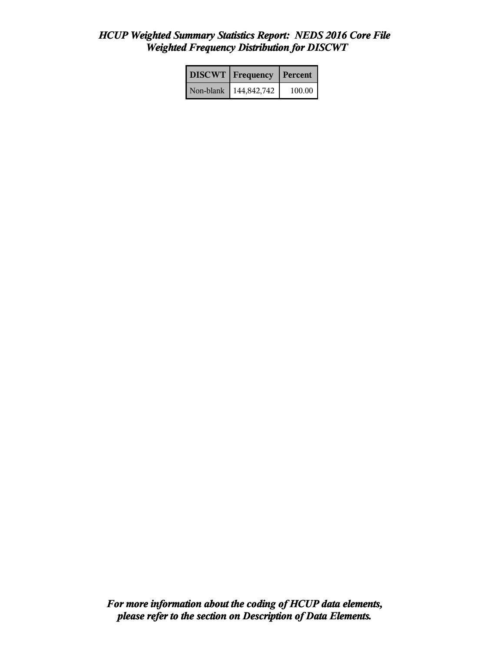# *HCUP Weighted Summary Statistics Report: NEDS 2016 Core File Weighted Frequency Distribution for DISCWT*

|           | <b>DISCWT</b>   Frequency | Percent |
|-----------|---------------------------|---------|
| Non-blank | 144,842,742               | 100.00  |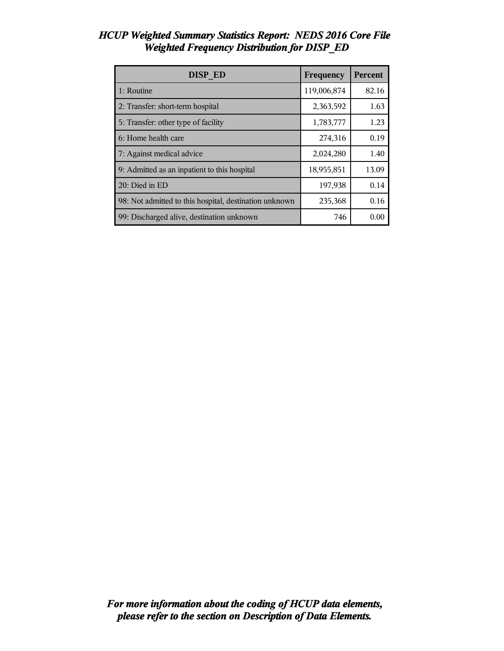| <b>DISP ED</b>                                         | Frequency   | Percent |
|--------------------------------------------------------|-------------|---------|
| 1: Routine                                             | 119,006,874 | 82.16   |
| 2: Transfer: short-term hospital                       | 2,363,592   | 1.63    |
| 5: Transfer: other type of facility                    | 1,783,777   | 1.23    |
| 6: Home health care                                    | 274,316     | 0.19    |
| 7: Against medical advice                              | 2,024,280   | 1.40    |
| 9: Admitted as an inpatient to this hospital           | 18,955,851  | 13.09   |
| 20: Died in ED                                         | 197,938     | 0.14    |
| 98: Not admitted to this hospital, destination unknown | 235,368     | 0.16    |
| 99: Discharged alive, destination unknown              | 746         | 0.00    |

#### *HCUP Weighted Summary Statistics Report: NEDS 2016 Core File Weighted Frequency Distribution for DISP\_ED*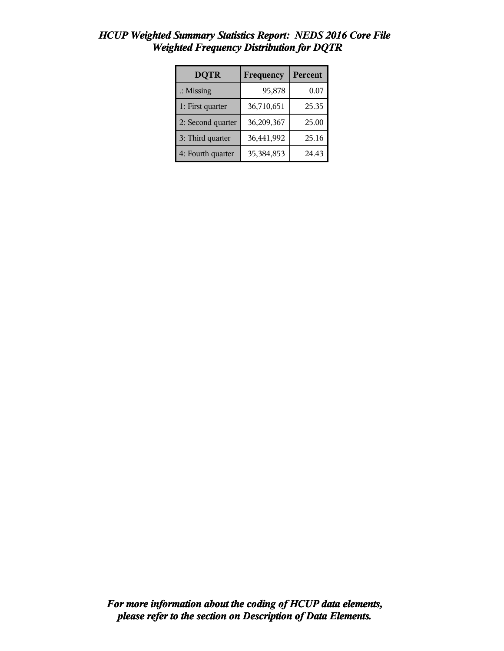| <b>DQTR</b>          | Frequency  | <b>Percent</b> |
|----------------------|------------|----------------|
| $\therefore$ Missing | 95,878     | 0.07           |
| 1: First quarter     | 36,710,651 | 25.35          |
| 2: Second quarter    | 36,209,367 | 25.00          |
| 3: Third quarter     | 36,441,992 | 25.16          |
| 4: Fourth quarter    | 35,384,853 | 24.43          |

### *HCUP Weighted Summary Statistics Report: NEDS 2016 Core File Weighted Frequency Distribution for DQTR*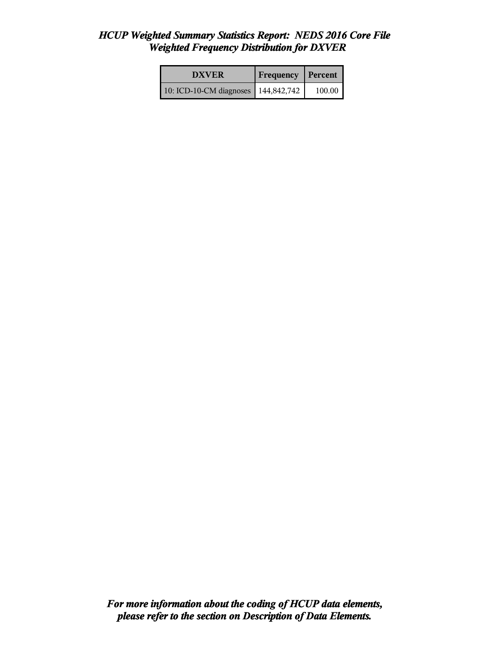#### *HCUP Weighted Summary Statistics Report: NEDS 2016 Core File Weighted Frequency Distribution for DXVER*

| <b>DXVER</b>                          | <b>Frequency Percent</b> |        |
|---------------------------------------|--------------------------|--------|
| 10: ICD-10-CM diagnoses   144,842,742 |                          | 100.00 |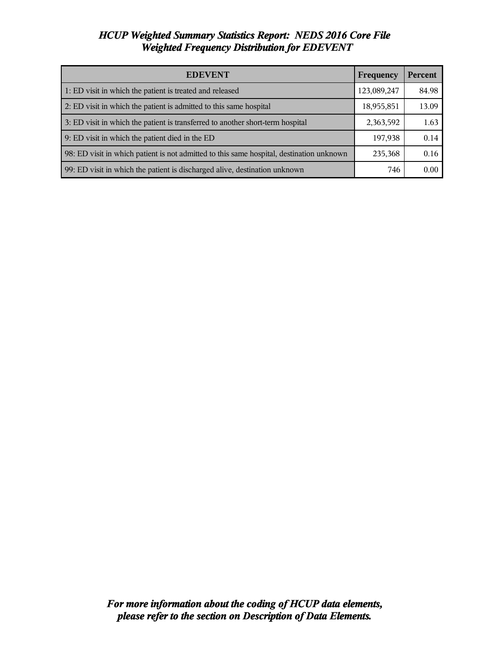## *HCUP Weighted Summary Statistics Report: NEDS 2016 Core File Weighted Frequency Distribution for EDEVENT*

| <b>EDEVENT</b><br>Frequency                                                              |             | <b>Percent</b> |
|------------------------------------------------------------------------------------------|-------------|----------------|
| 1: ED visit in which the patient is treated and released                                 | 123,089,247 | 84.98          |
| 2: ED visit in which the patient is admitted to this same hospital                       | 18,955,851  | 13.09          |
| 3: ED visit in which the patient is transferred to another short-term hospital           | 2,363,592   | 1.63           |
| 9: ED visit in which the patient died in the ED                                          | 197,938     | 0.14           |
| 98: ED visit in which patient is not admitted to this same hospital, destination unknown | 235,368     | 0.16           |
| 99: ED visit in which the patient is discharged alive, destination unknown               | 746         | 0.00           |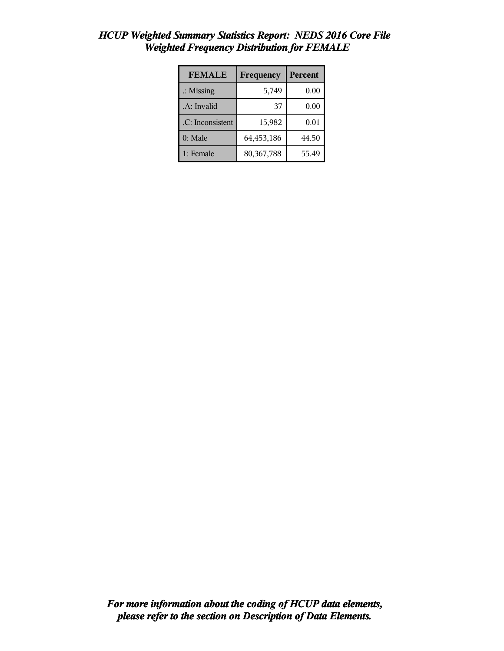| <b>FEMALE</b>        | Frequency    | <b>Percent</b> |
|----------------------|--------------|----------------|
| $\therefore$ Missing | 5,749        | 0.00           |
| .A: Invalid          | 37           | 0.00           |
| .C: Inconsistent     | 15,982       | 0.01           |
| $0:$ Male            | 64,453,186   | 44.50          |
| 1: Female            | 80, 367, 788 | 55.49          |

### *HCUP Weighted Summary Statistics Report: NEDS 2016 Core File Weighted Frequency Distribution for FEMALE*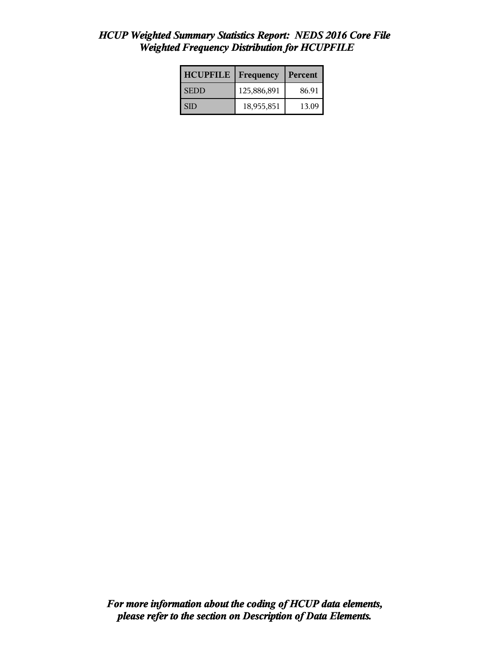## *HCUP Weighted Summary Statistics Report: NEDS 2016 Core File Weighted Frequency Distribution for HCUPFILE*

| <b>HCUPFILE</b> | Frequency   | Percent |
|-----------------|-------------|---------|
| <b>SEDD</b>     | 125,886,891 | 86.91   |
| I SID           | 18,955,851  | 13.09   |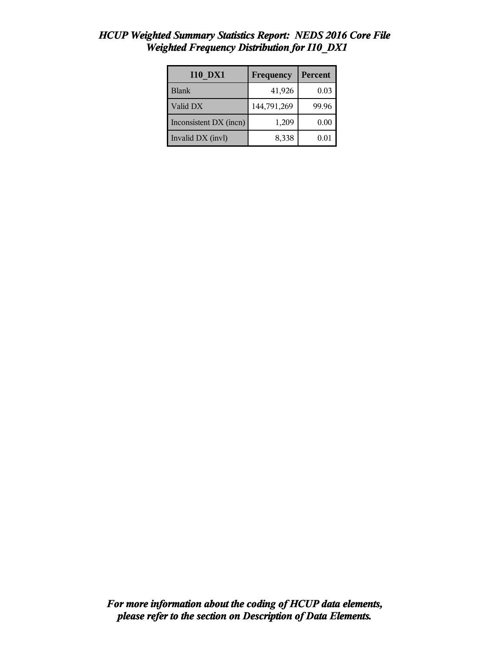| <b>I10 DX1</b>         | Frequency   | Percent |
|------------------------|-------------|---------|
| <b>Blank</b>           | 41,926      | 0.03    |
| Valid DX               | 144,791,269 | 99.96   |
| Inconsistent DX (incn) | 1,209       | 0.00    |
| Invalid DX (invl)      | 8,338       | 0.0     |

### *HCUP Weighted Summary Statistics Report: NEDS 2016 Core File Weighted Frequency Distribution for I10\_DX1*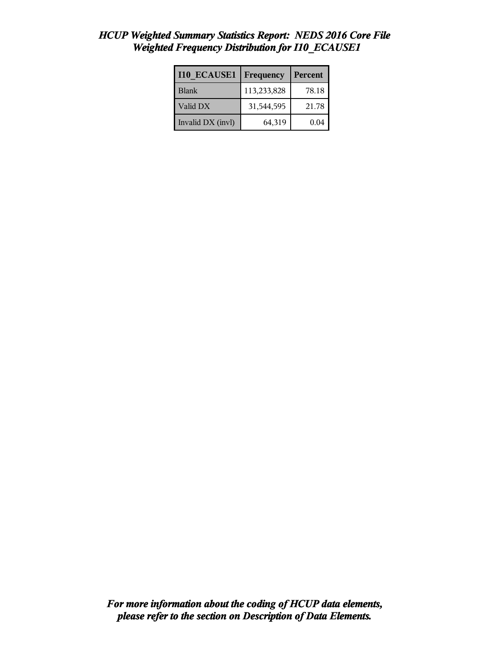| <b>I10 ECAUSE1</b> | Frequency   | Percent |
|--------------------|-------------|---------|
| <b>Blank</b>       | 113,233,828 | 78.18   |
| Valid DX           | 31,544,595  | 21.78   |
| Invalid DX (invl)  | 64,319      | 0.04    |

# *HCUP Weighted Summary Statistics Report: NEDS 2016 Core File Weighted Frequency Distribution for I10\_ECAUSE1*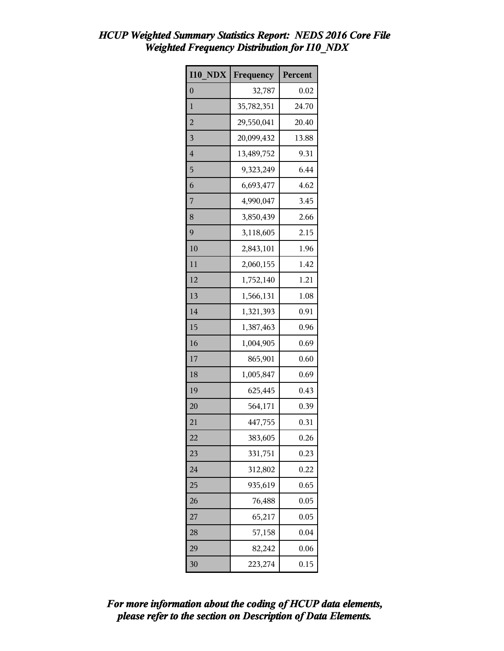| HCUP Weighted Summary Statistics Report: NEDS 2016 Core File |  |  |
|--------------------------------------------------------------|--|--|
| <b>Weighted Frequency Distribution for I10 NDX</b>           |  |  |

| <b>I10 NDX</b> | Frequency  | Percent |
|----------------|------------|---------|
| $\theta$       | 32,787     | 0.02    |
| 1              | 35,782,351 | 24.70   |
| $\overline{c}$ | 29,550,041 | 20.40   |
| 3              | 20,099,432 | 13.88   |
| $\overline{4}$ | 13,489,752 | 9.31    |
| 5              | 9,323,249  | 6.44    |
| 6              | 6,693,477  | 4.62    |
| 7              | 4,990,047  | 3.45    |
| 8              | 3,850,439  | 2.66    |
| 9              | 3,118,605  | 2.15    |
| 10             | 2,843,101  | 1.96    |
| 11             | 2,060,155  | 1.42    |
| 12             | 1,752,140  | 1.21    |
| 13             | 1,566,131  | 1.08    |
| 14             | 1,321,393  | 0.91    |
| 15             | 1,387,463  | 0.96    |
| 16             | 1,004,905  | 0.69    |
| 17             | 865,901    | 0.60    |
| 18             | 1,005,847  | 0.69    |
| 19             | 625,445    | 0.43    |
| 20             | 564,171    | 0.39    |
| 21             | 447,755    | 0.31    |
| 22             | 383,605    | 0.26    |
| 23             | 331,751    | 0.23    |
| 24             | 312,802    | 0.22    |
| 25             | 935,619    | 0.65    |
| 26             | 76,488     | 0.05    |
| 27             | 65,217     | 0.05    |
| 28             | 57,158     | 0.04    |
| 29             | 82,242     | 0.06    |
| 30             | 223,274    | 0.15    |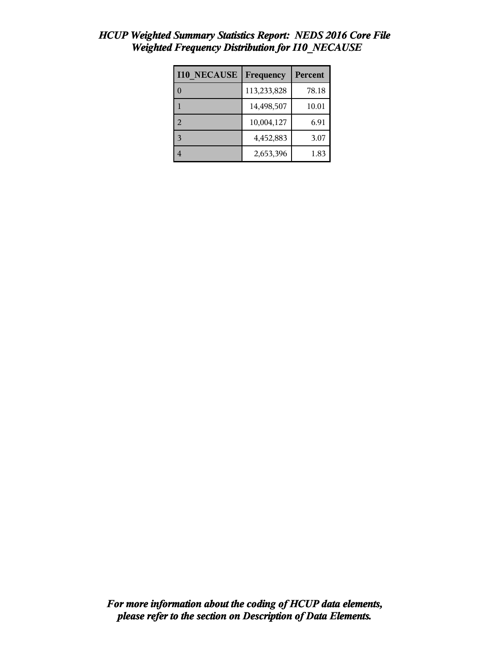| <b>I10 NECAUSE</b> | Frequency   | Percent |
|--------------------|-------------|---------|
|                    | 113,233,828 | 78.18   |
|                    | 14,498,507  | 10.01   |
| 2                  | 10,004,127  | 6.91    |
| 3                  | 4,452,883   | 3.07    |
|                    | 2,653,396   | 1.83    |

# *HCUP Weighted Summary Statistics Report: NEDS 2016 Core File Weighted Frequency Distribution for I10\_NECAUSE*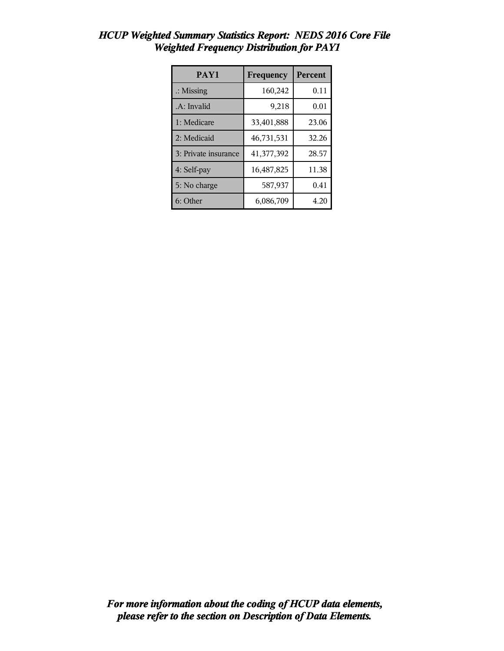| PAY1                 | Frequency  | Percent |
|----------------------|------------|---------|
| $\therefore$ Missing | 160,242    | 0.11    |
| .A: Invalid          | 9,218      | 0.01    |
| 1: Medicare          | 33,401,888 | 23.06   |
| 2: Medicaid          | 46,731,531 | 32.26   |
| 3: Private insurance | 41,377,392 | 28.57   |
| 4: Self-pay          | 16,487,825 | 11.38   |
| 5: No charge         | 587,937    | 0.41    |
| 6: Other             | 6,086,709  | 4.20    |

### *HCUP Weighted Summary Statistics Report: NEDS 2016 Core File Weighted Frequency Distribution for PAY1*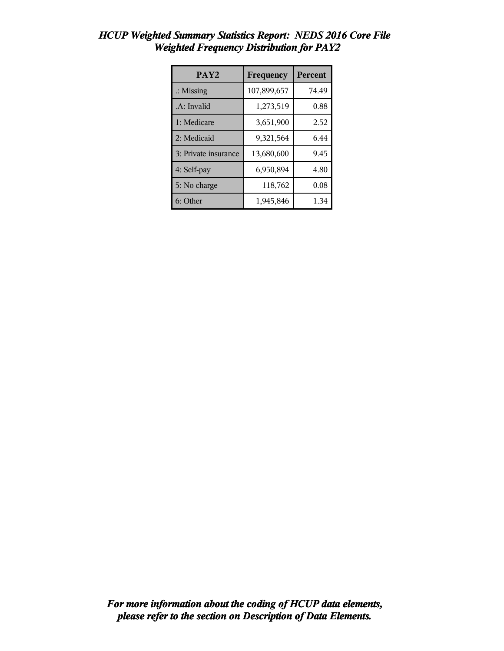| PAY <sub>2</sub>     | Frequency   | Percent |
|----------------------|-------------|---------|
| $\therefore$ Missing | 107,899,657 | 74.49   |
| .A: Invalid          | 1,273,519   | 0.88    |
| 1: Medicare          | 3,651,900   | 2.52    |
| 2: Medicaid          | 9,321,564   | 6.44    |
| 3: Private insurance | 13,680,600  | 9.45    |
| 4: Self-pay          | 6,950,894   | 4.80    |
| 5: No charge         | 118,762     | 0.08    |
| 6: Other             | 1,945,846   | 1.34    |

### *HCUP Weighted Summary Statistics Report: NEDS 2016 Core File Weighted Frequency Distribution for PAY2*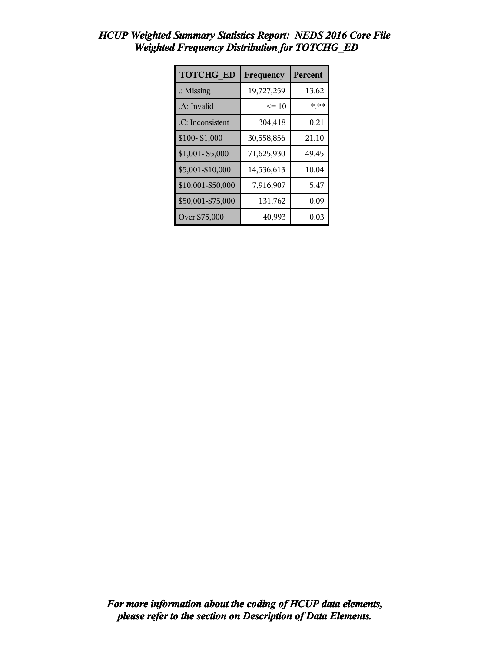| <b>TOTCHG ED</b>     | Frequency  | Percent |
|----------------------|------------|---------|
| $\therefore$ Missing | 19,727,259 | 13.62   |
| .A: Invalid          | $\leq 10$  | * **    |
| .C: Inconsistent     | 304,418    | 0.21    |
| \$100-\$1,000        | 30,558,856 | 21.10   |
| \$1,001-\$5,000      | 71,625,930 | 49.45   |
| \$5,001-\$10,000     | 14,536,613 | 10.04   |
| \$10,001-\$50,000    | 7,916,907  | 5.47    |
| \$50,001-\$75,000    | 131,762    | 0.09    |
| Over \$75,000        | 40,993     | 0.03    |

### *HCUP Weighted Summary Statistics Report: NEDS 2016 Core File Weighted Frequency Distribution for TOTCHG\_ED*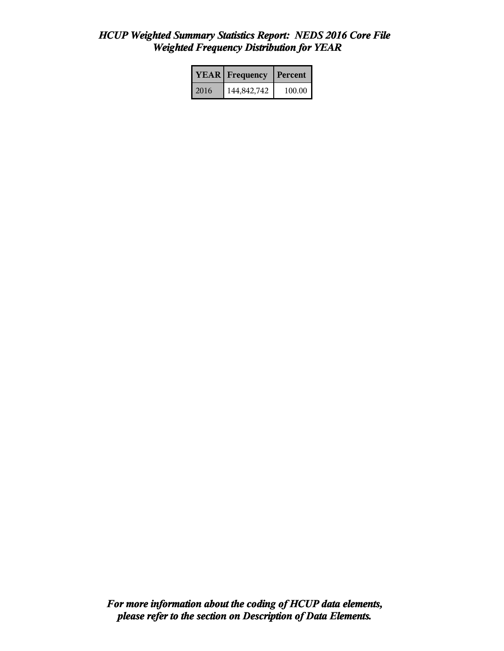#### *HCUP Weighted Summary Statistics Report: NEDS 2016 Core File Weighted Frequency Distribution for YEAR*

|      | <b>YEAR</b> Frequency | Percent |
|------|-----------------------|---------|
| 2016 | 144,842,742           | 100.00  |